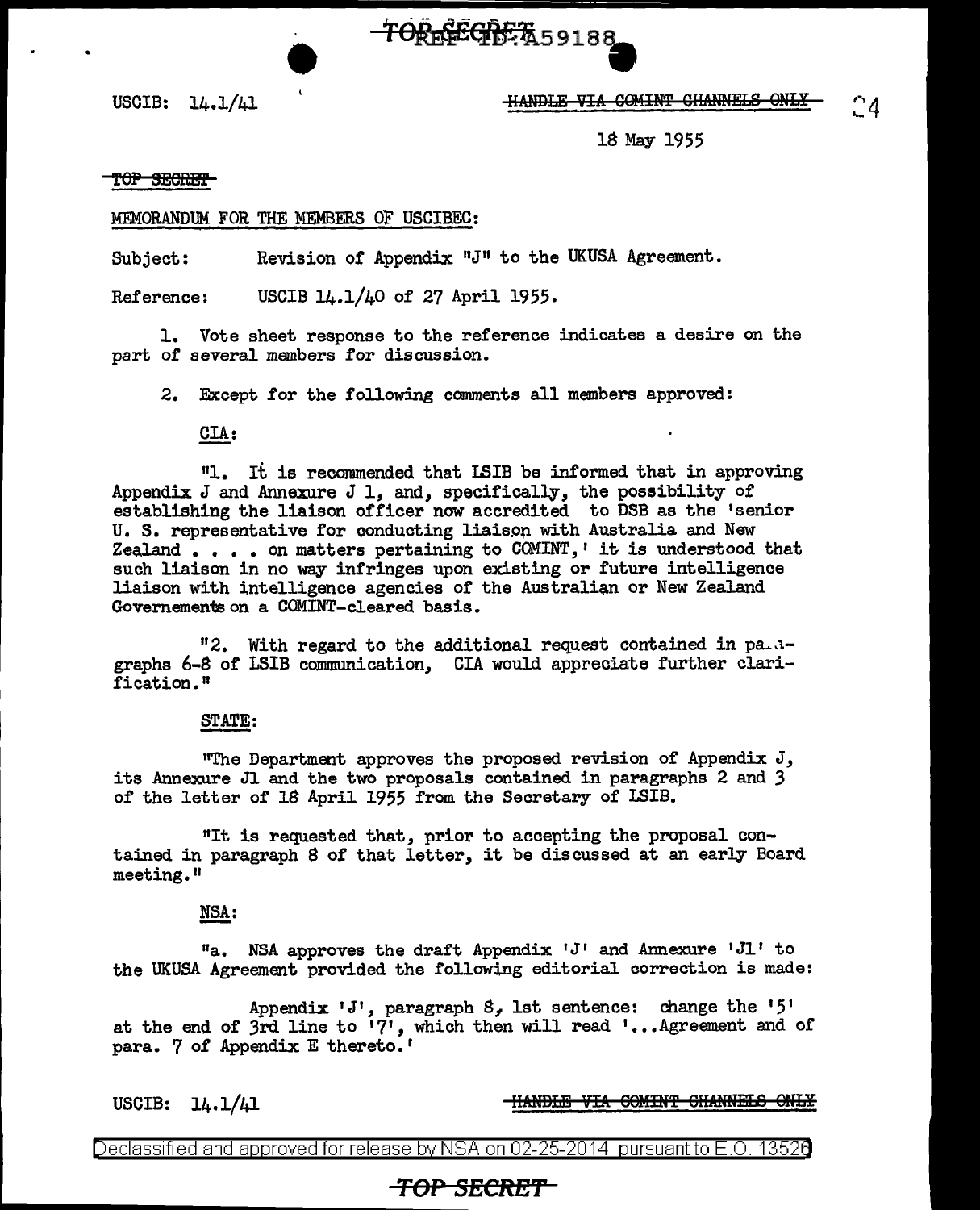### USCIB: 14.1/41 111\m>:E.ii T.."IA QQHIN'l' 911AmlELS ON:E.¥

18 May 1955

#### TOP SECRET

#### MEMORANDUM FOR THE MEMBERS OF USCIBEC:

Subject: Revision of Appendix "J" to the UKUSA Agreement.

Reference: USCIB 14.1/40 of 27 April 1955.

1. Vote sheet response to the reference indicates a desire on the part of several members for discussion.

TOREFEGDET 59188

2. Except for the following comments all members approved:

### CIA:

111. It is recommended that LSIB be informed that in approving Appendix J and Annexure J 1, and, specifically, the possibility of establishing the liaison officer now accredited to DSB as the 'senior U. S. representative for conducting liaispp with Australia and New Zealand  $\ldots$  . on matters pertaining to COMINT,' it is understood that such liaison in no way infringes upon existing or future intelligence liaison with intelligence agencies of the Australian or New Zealand Governements on a COMINT-cleared basis.

 $"2.$  With regard to the additional request contained in pa.  $3$ graphs 6-8 of LSIB communication, CIA would appreciate further clarification."

#### STATE:

"The Department approves the proposed revision of Appendix J, its Annexure Jl and the two proposals contained in paragraphs 2 and *3*  of the letter of 18 April 1955 from the Secretary of LSIB.

"It is requested that, prior to accepting the proposal contained in paragraph S of that letter, it be discussed at an early Board meeting."

#### NSA:

"a. NSA approves the draft Appendix  $J'$  and Annexure  $J'$  to the UKUSA Agreement provided the following editorial correction is made:

Appendix 'J', paragraph  $8$ , lst sentence: change the '5' at the end of 3rd line to  $17'$ , which then will read '... Agreement and of para. 7 of Appendix E thereto.'

USCIB:  $14.1/41$  IIANDLE VIA COMINT CHANNELS ONLY

Declassified and approved for release by NSA on 02-25-2014 pursuantto E.O. 1352a

## **TOP SECRE't'**

 $^{\circ}4$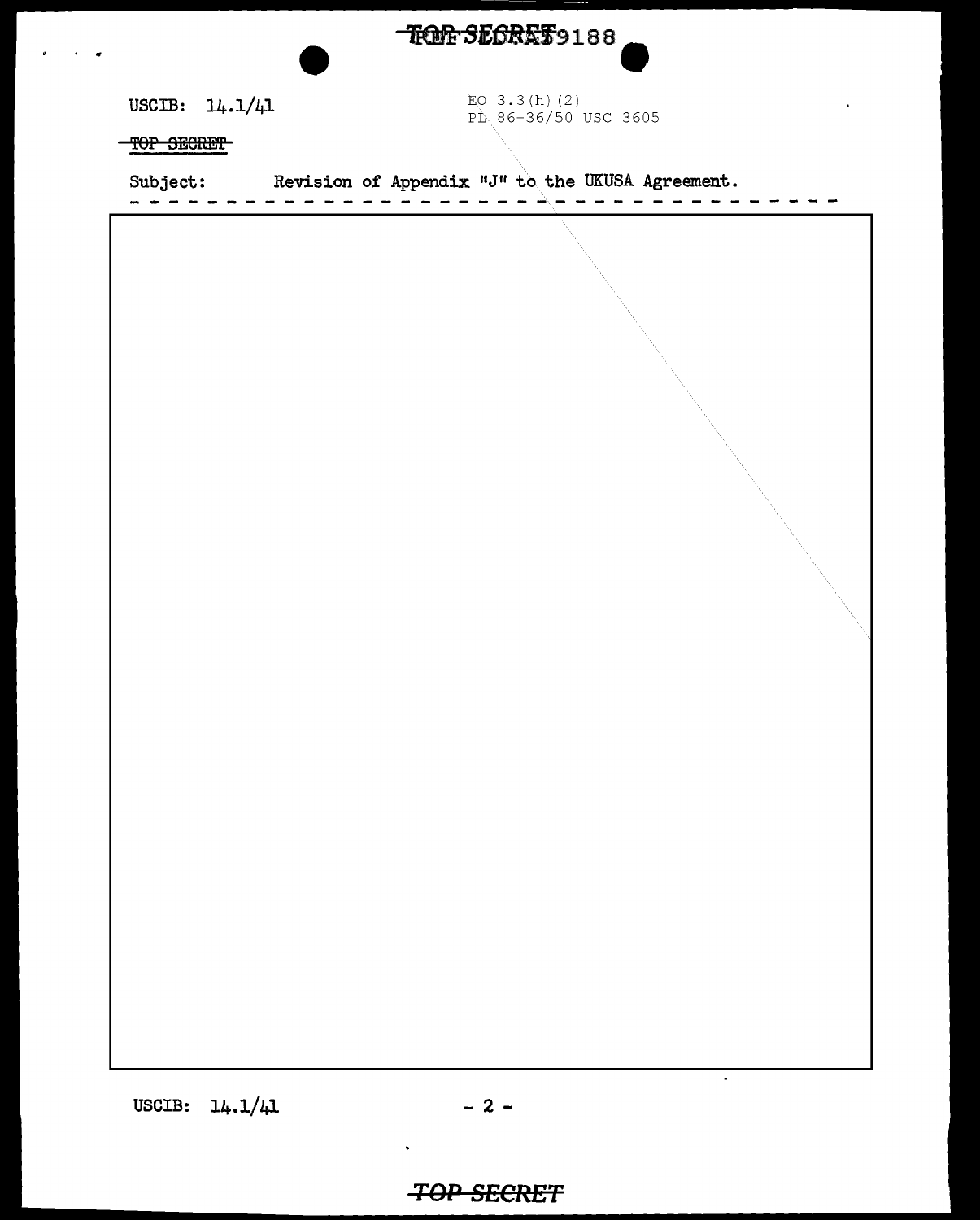TROF SECRET9188

USCIB: 14.1/41

EO  $3.3(h)$  (2)  $P_{L}$  86-36/50 USC 3605

TOP SECRET

| Subject: | Revision of Appendix "J" to the UKUSA Agreement. |
|----------|--------------------------------------------------|
|          |                                                  |
|          |                                                  |
|          |                                                  |
|          |                                                  |
|          |                                                  |
|          |                                                  |

USCIB:  $14.1/41$  - 2 -

# **TOP SECRET**